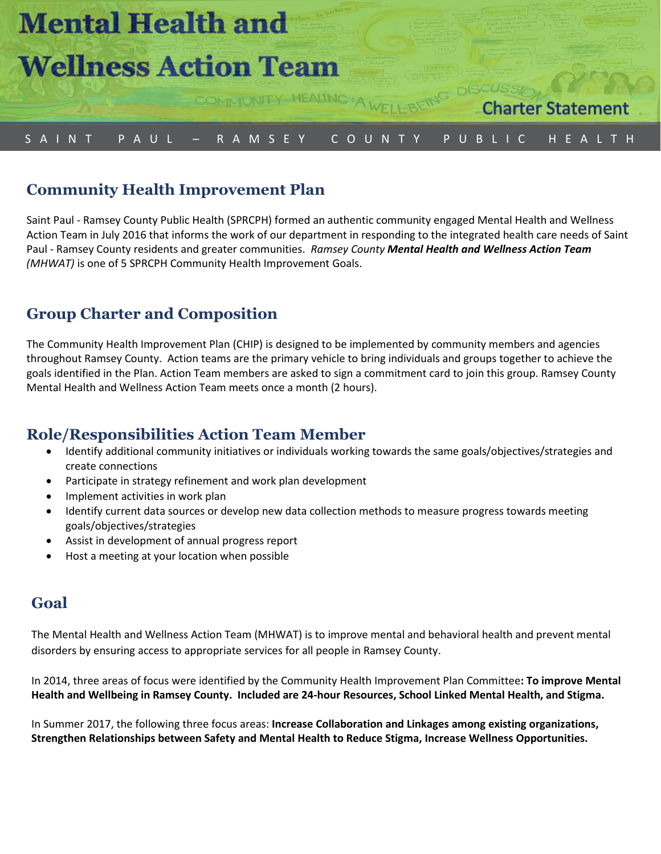

# S A I N T P A U L – R A M S E Y C O U N T Y P U B L I C H E A L T H

# **Community Health Improvement Plan**

Saint Paul - Ramsey County Public Health (SPRCPH) formed an authentic community engaged Mental Health and Wellness Action Team in July 2016 that informs the work of our department in responding to the integrated health care needs of Saint Paul - Ramsey County residents and greater communities. *Ramsey County Mental Health and Wellness Action Team (MHWAT)* is one of 5 SPRCPH Community Health Improvement Goals.

## **Group Charter and Composition**

The Community Health Improvement Plan (CHIP) is designed to be implemented by community members and agencies throughout Ramsey County. Action teams are the primary vehicle to bring individuals and groups together to achieve the goals identified in the Plan. Action Team members are asked to sign a commitment card to join this group. Ramsey County Mental Health and Wellness Action Team meets once a month (2 hours).

## **Role/Responsibilities Action Team Member**

- Identify additional community initiatives or individuals working towards the same goals/objectives/strategies and create connections
- Participate in strategy refinement and work plan development
- Implement activities in work plan
- Identify current data sources or develop new data collection methods to measure progress towards meeting goals/objectives/strategies
- Assist in development of annual progress report
- Host a meeting at your location when possible

#### **Goal**

The Mental Health and Wellness Action Team (MHWAT) is to improve mental and behavioral health and prevent mental disorders by ensuring access to appropriate services for all people in Ramsey County.

In 2014, three areas of focus were identified by the Community Health Improvement Plan Committee**: To improve Mental Health and Wellbeing in Ramsey County. Included are 24-hour Resources, School Linked Mental Health, and Stigma.**

In Summer 2017, the following three focus areas: **Increase Collaboration and Linkages among existing organizations, Strengthen Relationships between Safety and Mental Health to Reduce Stigma, Increase Wellness Opportunities.**